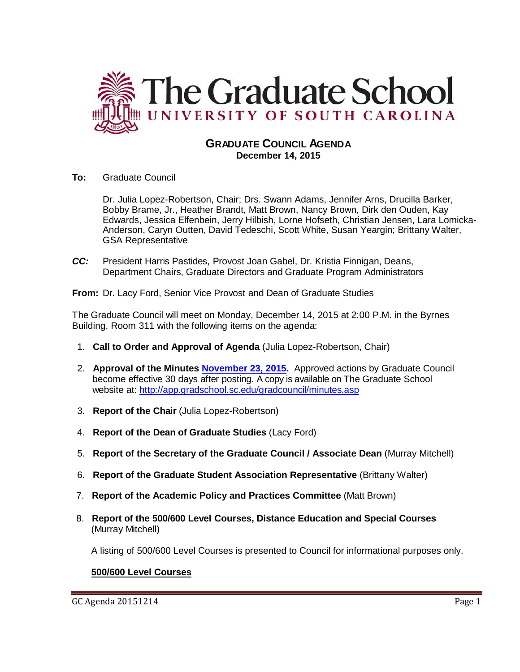

## **GRADUATE COUNCIL AGENDA December 14, 2015**

**To:** Graduate Council

Dr. Julia Lopez-Robertson, Chair; Drs. Swann Adams, Jennifer Arns, Drucilla Barker, Bobby Brame, Jr., Heather Brandt, Matt Brown, Nancy Brown, Dirk den Ouden, Kay Edwards, Jessica Elfenbein, Jerry Hilbish, Lorne Hofseth, Christian Jensen, Lara Lomicka-Anderson, Caryn Outten, David Tedeschi, Scott White, Susan Yeargin; Brittany Walter, GSA Representative

*CC:* President Harris Pastides, Provost Joan Gabel, Dr. Kristia Finnigan, Deans, Department Chairs, Graduate Directors and Graduate Program Administrators

**From:** Dr. Lacy Ford, Senior Vice Provost and Dean of Graduate Studies

The Graduate Council will meet on Monday, December 14, 2015 at 2:00 P.M. in the Byrnes Building, Room 311 with the following items on the agenda:

- 1. **Call to Order and Approval of Agenda** (Julia Lopez-Robertson, Chair)
- 2. **Approval of the Minutes [November 23, 2015.](http://gradschool.sc.edu/facstaff/gradcouncil/2015/GC%20Minutes%20November%2023%202015MMfinal2.pdf)** Approved actions by Graduate Council become effective 30 days after posting. A copy is available on The Graduate School website at:<http://app.gradschool.sc.edu/gradcouncil/minutes.asp>
- 3. **Report of the Chair** (Julia Lopez-Robertson)
- 4. **Report of the Dean of Graduate Studies** (Lacy Ford)
- 5. **Report of the Secretary of the Graduate Council / Associate Dean** (Murray Mitchell)
- 6. **Report of the Graduate Student Association Representative** (Brittany Walter)
- 7. **Report of the Academic Policy and Practices Committee** (Matt Brown)
- 8. **Report of the 500/600 Level Courses, Distance Education and Special Courses** (Murray Mitchell)

A listing of 500/600 Level Courses is presented to Council for informational purposes only.

## **500/600 Level Courses**

GC Agenda 20151214  $P$ age 1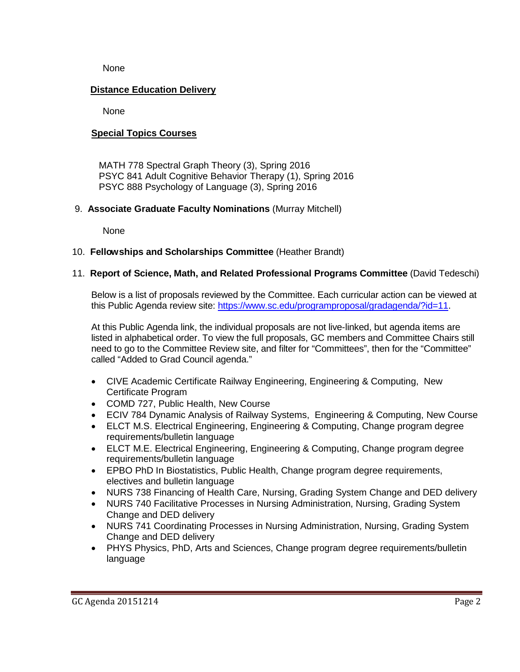None

## **Distance Education Delivery**

None

## **Special Topics Courses**

MATH 778 Spectral Graph Theory (3), Spring 2016 PSYC 841 Adult Cognitive Behavior Therapy (1), Spring 2016 PSYC 888 Psychology of Language (3), Spring 2016

## 9. **Associate Graduate Faculty Nominations** (Murray Mitchell)

None

## 10. **Fellowships and Scholarships Committee** (Heather Brandt)

## 11. **Report of Science, Math, and Related Professional Programs Committee** (David Tedeschi)

Below is a list of proposals reviewed by the Committee. Each curricular action can be viewed at this Public Agenda review site: [https://www.sc.edu/programproposal/gradagenda/?id=11.](https://www.sc.edu/programproposal/gradagenda/?id=11)

At this Public Agenda link, the individual proposals are not live-linked, but agenda items are listed in alphabetical order. To view the full proposals, GC members and Committee Chairs still need to go to the Committee Review site, and filter for "Committees", then for the "Committee" called "Added to Grad Council agenda."

- CIVE Academic Certificate Railway Engineering, Engineering & Computing, New Certificate Program
- COMD 727, Public Health, New Course
- ECIV 784 Dynamic Analysis of Railway Systems, Engineering & Computing, New Course
- ELCT M.S. Electrical Engineering, Engineering & Computing, Change program degree requirements/bulletin language
- ELCT M.E. Electrical Engineering, Engineering & Computing, Change program degree requirements/bulletin language
- EPBO PhD In Biostatistics, Public Health, Change program degree requirements, electives and bulletin language
- NURS 738 Financing of Health Care, Nursing, Grading System Change and DED delivery
- NURS 740 Facilitative Processes in Nursing Administration, Nursing, Grading System Change and DED delivery
- NURS 741 Coordinating Processes in Nursing Administration, Nursing, Grading System Change and DED delivery
- PHYS Physics, PhD, Arts and Sciences, Change program degree requirements/bulletin language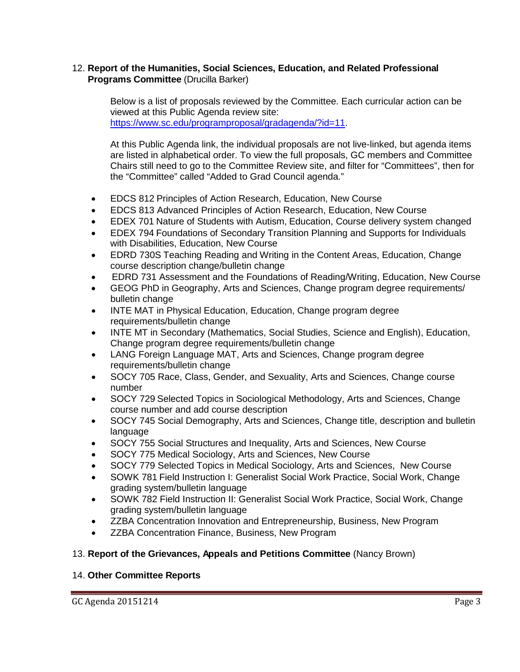#### 12. **Report of the Humanities, Social Sciences, Education, and Related Professional Programs Committee** (Drucilla Barker)

Below is a list of proposals reviewed by the Committee. Each curricular action can be viewed at this Public Agenda review site: [https://www.sc.edu/programproposal/gradagenda/?id=11.](https://www.sc.edu/programproposal/gradagenda/?id=11)

At this Public Agenda link, the individual proposals are not live-linked, but agenda items are listed in alphabetical order. To view the full proposals, GC members and Committee Chairs still need to go to the Committee Review site, and filter for "Committees", then for the "Committee" called "Added to Grad Council agenda."

- EDCS 812 Principles of Action Research, Education, New Course
- EDCS 813 Advanced Principles of Action Research, Education, New Course
- EDEX 701 Nature of Students with Autism, Education, Course delivery system changed
- EDEX 794 Foundations of Secondary Transition Planning and Supports for Individuals with Disabilities, Education, New Course
- EDRD 730S Teaching Reading and Writing in the Content Areas, Education, Change course description change/bulletin change
- EDRD 731 Assessment and the Foundations of Reading/Writing, Education, New Course
- GEOG PhD in Geography, Arts and Sciences, Change program degree requirements/ bulletin change
- INTE MAT in Physical Education, Education, Change program degree requirements/bulletin change
- INTE MT in Secondary (Mathematics, Social Studies, Science and English), Education, Change program degree requirements/bulletin change
- LANG Foreign Language MAT, Arts and Sciences, Change program degree requirements/bulletin change
- SOCY 705 Race, Class, Gender, and Sexuality, Arts and Sciences, Change course number
- SOCY 729 Selected Topics in Sociological Methodology, Arts and Sciences, Change course number and add course description
- SOCY 745 Social Demography, Arts and Sciences, Change title, description and bulletin language
- SOCY 755 Social Structures and Inequality, Arts and Sciences, New Course
- SOCY 775 Medical Sociology, Arts and Sciences, New Course
- SOCY 779 Selected Topics in Medical Sociology, Arts and Sciences, New Course
- SOWK 781 Field Instruction I: Generalist Social Work Practice, Social Work, Change grading system/bulletin language
- SOWK 782 Field Instruction II: Generalist Social Work Practice, Social Work, Change grading system/bulletin language
- ZZBA Concentration Innovation and Entrepreneurship, Business, New Program
- ZZBA Concentration Finance, Business, New Program

#### 13. **Report of the Grievances, Appeals and Petitions Committee** (Nancy Brown)

#### 14. **Other Committee Reports**